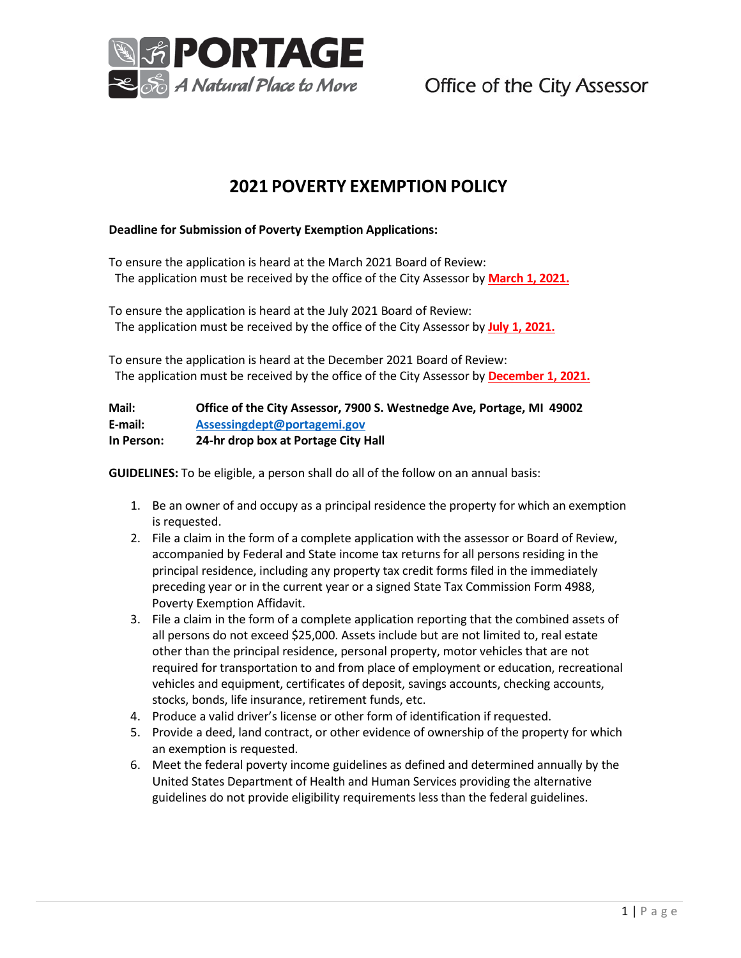

Office of the City Assessor

## **2021 POVERTY EXEMPTION POLICY**

## **Deadline for Submission of Poverty Exemption Applications:**

To ensure the application is heard at the March 2021 Board of Review: The application must be received by the office of the City Assessor by **March 1, 2021.**

To ensure the application is heard at the July 2021 Board of Review: The application must be received by the office of the City Assessor by **July 1, 2021.**

To ensure the application is heard at the December 2021 Board of Review: The application must be received by the office of the City Assessor by **December 1, 2021.**

| Mail:      | Office of the City Assessor, 7900 S. Westnedge Ave, Portage, MI 49002 |
|------------|-----------------------------------------------------------------------|
| E-mail:    | Assessingdept@portagemi.gov                                           |
| In Person: | 24-hr drop box at Portage City Hall                                   |

**GUIDELINES:** To be eligible, a person shall do all of the follow on an annual basis:

- 1. Be an owner of and occupy as a principal residence the property for which an exemption is requested.
- 2. File a claim in the form of a complete application with the assessor or Board of Review, accompanied by Federal and State income tax returns for all persons residing in the principal residence, including any property tax credit forms filed in the immediately preceding year or in the current year or a signed State Tax Commission Form 4988, Poverty Exemption Affidavit.
- 3. File a claim in the form of a complete application reporting that the combined assets of all persons do not exceed \$25,000. Assets include but are not limited to, real estate other than the principal residence, personal property, motor vehicles that are not required for transportation to and from place of employment or education, recreational vehicles and equipment, certificates of deposit, savings accounts, checking accounts, stocks, bonds, life insurance, retirement funds, etc.
- 4. Produce a valid driver's license or other form of identification if requested.
- 5. Provide a deed, land contract, or other evidence of ownership of the property for which an exemption is requested.
- 6. Meet the federal poverty income guidelines as defined and determined annually by the United States Department of Health and Human Services providing the alternative guidelines do not provide eligibility requirements less than the federal guidelines.